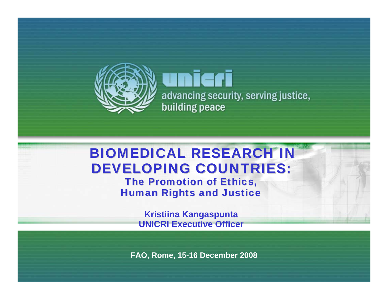

unieri advancing security, serving justice, building peace

# **BIOMEDICAL RESEARCH IN** DEVELOPING COUNTRIES:

The Promotion of Ethics, **Human Rights and Justice** 

> **Kristiina Kangaspunta UNICRI Executive Officer**

**FAO, Rome, 15-16 December 2008**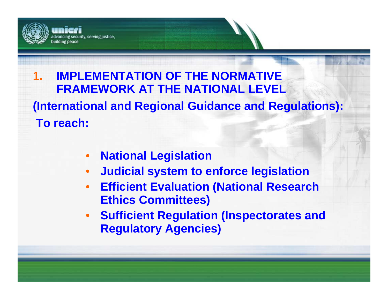

#### **1. IMPLEMENTATION OF THE NORMATIVE FRAMEWORK AT THE NATIONAL LEVEL**

**(International and Regional Guidance and Regulations): To reach:**

- •**National Legislation**
- •**Judicial system to enforce legislation**
- • **Efficient Evaluation (National Research Ethics Committees)**
- **Sufficient Regulation (Inspectorates and Regulatory Agencies)**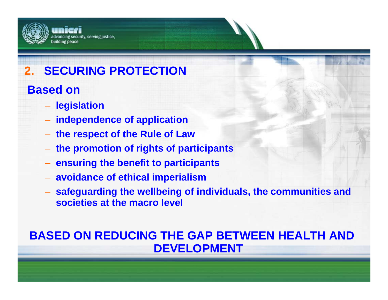#### irity, serving justice, uilding peace

# **2. SECURING PROTECTION**

## **Based** on

- **legislation**
- **independence of application**
- **the respect of the Rule of Law**
- **the promotion of rights of participants**
- **ensuring the benefit to participants**
- **avoidance of ethical imperialism**
- **safeguarding the wellbeing of individuals, the communities and societies at the macro level**

## **BASED ON REDUCING THE GAP BETWEEN HEALTH AND DEVELOPMENT**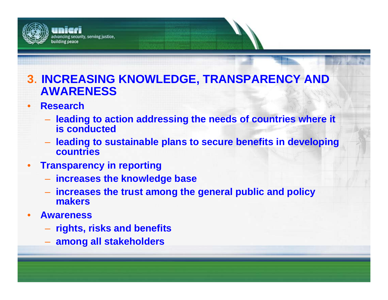

## **3**. **INCREASING KNOWLEDGE, TRANSPARENCY AND AWARENESS**

- • **Research**
	- **leading to action addressing the needs of countries where it is conducted**
	- **leading to sustainable plans to secure benefits in developing countries**
- •**Transparency in reporting**

rity, serving justice,

- **increases the knowledge base**
- **increases the trust among the general public and policy makers**
- • **Awareness**
	- **rights, risks and benefits**
	- **among all stakeholders**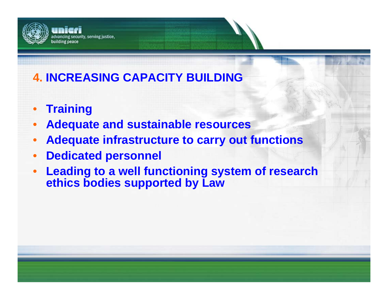

# **4. INCREASING CAPACITY BUILDING**

- •**Training**
- •**Adequate and sustainable resources**
- •**Adequate infrastructure to carry out functions**
- •**Dedicated personnel**
- $\bullet$  **Leading to a well functioning system of research ethics bodies supported by Law**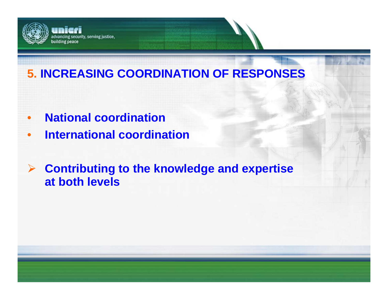

## **5. INCREASING COORDINATION OF RESPONSES**

- $\bullet$ **National coordination**
- •**International coordination**
- ¾ **Contributing to the knowledge and expertise at both levels**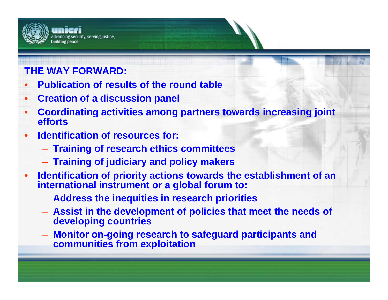

#### **THE WAY FORWARD:**

- •**Publication of results of the round table**
- $\bullet$ **Creation of a discussion panel**
- • **Coordinating activities among partners towards increasing joint efforts**
- • **Identification of resources for:**
	- **Training of research ethics committees**
	- **Training of judiciary and policy makers**
- • **Identification of priority actions towards the establishment of an international instrument or a global forum to:** 
	- **Address the inequities in research priorities**
	- **Assist in the development of policies that meet the needs of developing countries**
	- **Monitor on-going research to safeguard participants and communities from exploitation**